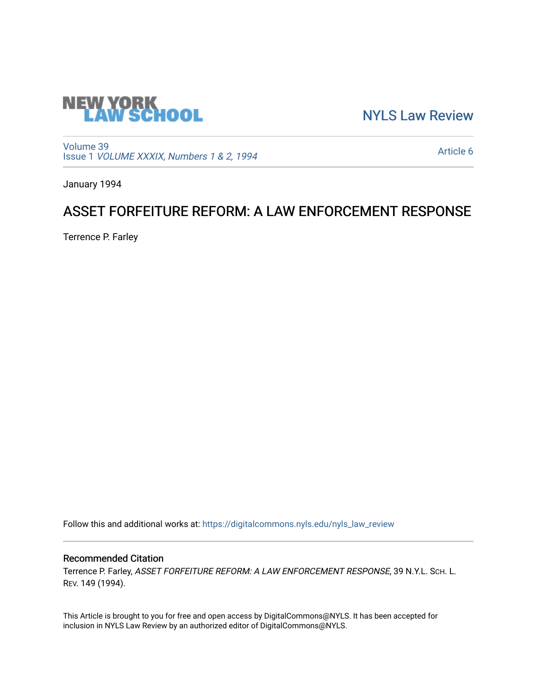

[NYLS Law Review](https://digitalcommons.nyls.edu/nyls_law_review) 

[Volume 39](https://digitalcommons.nyls.edu/nyls_law_review/vol39) Issue 1 [VOLUME XXXIX, Numbers 1 & 2, 1994](https://digitalcommons.nyls.edu/nyls_law_review/vol39/iss1)

[Article 6](https://digitalcommons.nyls.edu/nyls_law_review/vol39/iss1/6) 

January 1994

## ASSET FORFEITURE REFORM: A LAW ENFORCEMENT RESPONSE

Terrence P. Farley

Follow this and additional works at: [https://digitalcommons.nyls.edu/nyls\\_law\\_review](https://digitalcommons.nyls.edu/nyls_law_review?utm_source=digitalcommons.nyls.edu%2Fnyls_law_review%2Fvol39%2Fiss1%2F6&utm_medium=PDF&utm_campaign=PDFCoverPages) 

## Recommended Citation

Terrence P. Farley, ASSET FORFEITURE REFORM: A LAW ENFORCEMENT RESPONSE, 39 N.Y.L. SCH. L. REV. 149 (1994).

This Article is brought to you for free and open access by DigitalCommons@NYLS. It has been accepted for inclusion in NYLS Law Review by an authorized editor of DigitalCommons@NYLS.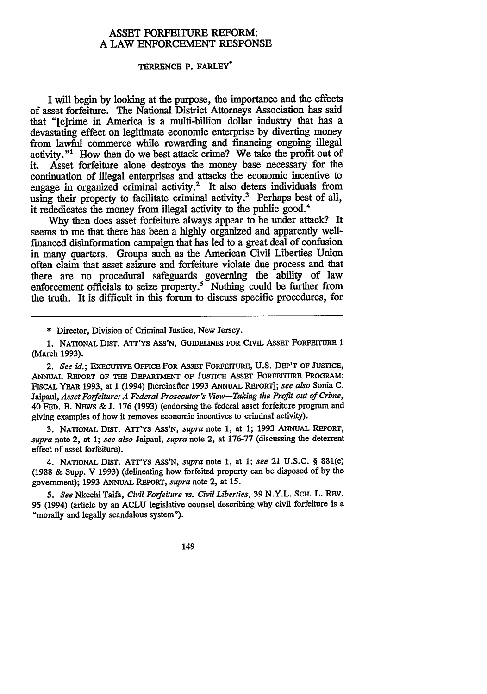## ASSET FORFEITURE REFORM: **A** LAW **ENFORCEMENT RESPONSE**

## **TERRENCE** P. FARLEY\*

I will begin **by** looking at the purpose, the importance and the effects of asset forfeiture. The National District Attorneys Association has said that "[c]rime in America is a multi-billion dollar industry that has a devastating effect on legitimate economic enterprise by diverting money from lawful commerce while rewarding and financing ongoing illegal activity."' How then do we best attack crime? We take the profit out of it. Asset forfeiture alone destroys the money base necessary for the continuation of illegal enterprises and attacks the economic incentive to engage in organized criminal activity.<sup>2</sup> It also deters individuals from using their property to facilitate criminal activity.<sup>3</sup> Perhaps best of all, it rededicates the money from illegal activity to the public good.<sup>4</sup>

Why then does asset forfeiture always appear to be under attack? It seems to me that there has been a highly organized and apparently wellfinanced disinformation campaign that has led to a great deal of confusion in many quarters. Groups such as the American Civil Liberties Union often claim that asset seizure and forfeiture violate due process and that there are no procedural safeguards governing the ability of law enforcement officials to seize property.<sup>5</sup> Nothing could be further from the truth. It is difficult in this forum to discuss specific procedures, for

\* Director, Division of Criminal Justice, New Jersey.

1. NATIONAL **DisT.** ATr'Ys As'N, GuIDELINES FOR CIVIL **ASSET** FORFEITURE 1 (March **1993).**

2. *See id.;* EXECUTIVE OFFICE FOR ASSET FORFErrURE, **U.S.** DEP'T **OF JUSTICE,** ANNUAL REPORT OF THE DEPARTMENT OF JUSTICE ASSET FORFEITURE PROGRAM: FISCAL YEAR **1993,** at 1 (1994) [hereinafter **1993 ANNUAL** REPORT]; *see also* Sonia **C.** Jaipaul, *Asset Forfeiture: A Federal Prosecutor's View-Taking the Profit out of Crime,* 40 FED. B. NEWS & J. 176 (1993) (endorsing the federal asset forfeiture program and giving examples of how it removes economic incentives to criminal activity).

**3.** NATIONAL DIST. ATT'Ys ASS'N, *supra* note 1, at 1; **1993** ANNUAL REPORT, *supra* note 2, at 1; *see also* Jaipaul, *supra* note 2, at 176-77 (discussing the deterrent effect of asset forfeiture).

4. NATIONAL DIST. ATT'YS ASS'N, *supra* note **1,** at **1;** *see* 21 U.S.C. § 881(e) (1988 & Supp. V 1993) (delineating how forfeited property can be disposed of by the government); 1993 ANNUAL REPORT, *supra* note 2, at 15.

*5. See* Nkechi Taifa, *Civil Forfeiture vs. Civil Liberties,* 39 N.Y.L. SCH. L. REv. 95 (1994) (article by an ACLU legislative counsel describing why civil forfeiture is a "morally and legally scandalous system").

149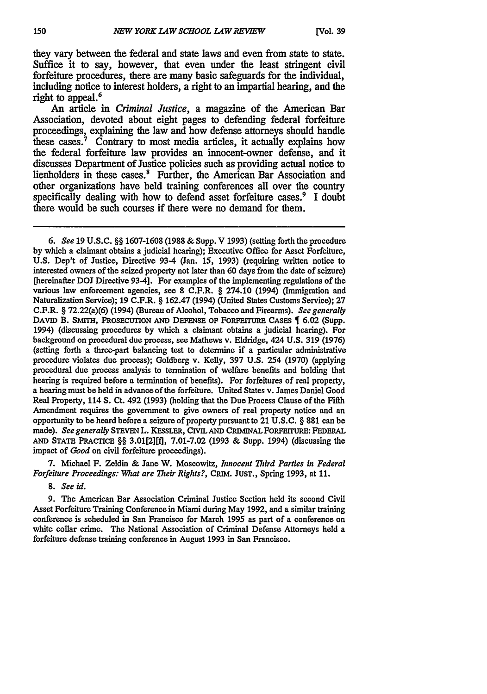they vary between the federal and state laws and even from state to state. Suffice it to say, however, that even under the least stringent civil forfeiture procedures, there are many basic safeguards for the individual, including notice to interest holders, a right to an impartial hearing, and the right to appeal.<sup>6</sup>

An article in *Criminal Justice,* a magazine of the American Bar Association, devoted about eight pages to defending federal forfeiture proceedings, explaining the law and how defense attorneys should handle these cases.<sup>7</sup> Contrary to most media articles, it actually explains how the federal forfeiture law provides an innocent-owner defense, and it discusses Department of Justice policies such as providing actual notice to lienholders in these cases.<sup>8</sup> Further, the American Bar Association and other organizations have held training conferences all over the country specifically dealing with how to defend asset forfeiture cases.<sup>9</sup> I doubt there would be such courses if there were no demand for them.

*6. See* **19 U.S.C.** §§ **1607-1608 (1988** & Supp. V **1993)** (setting forth the procedure by which a claimant obtains a judicial hearing); Executive Office for Asset Forfeiture, U.S. Dep't of Justice, Directive 93-4 (Jan. 15, 1993) (requiring written notice to interested owners of the seized property not later than 60 days from the date of seizure) [hereinafter DOJ Directive 93-4]. For examples of the implementing regulations of the various law enforcement agencies, see 8 C.F.R. § 274.10 (1994) (Immigration and Naturalization Service); 19 C.F.R. § 162.47 (1994) (United States Customs Service); **27** C.F.R. § 72.22(a)(6) (1994) (Bureau of Alcohol, Tobacco and Firearms). *See generally* DAVID B. SMITH, PROSECUTION AND DEFENSE OF FORFEITURE CASES **[6.02 (Supp.** 1994) (discussing procedures by which a claimant obtains a judicial hearing). For background on procedural due process, see Mathews v. Eldridge, 424 **U.S. 319** (1976) (setting forth a three-part balancing test to determine if a particular administrative procedure violates due process); Goldberg v. Kelly, 397 U.S. 254 (1970) (applying procedural due process analysis to termination of welfare benefits and holding that hearing is required before a termination of benefits). For forfeitures of real property, a hearing must be held in advance of the forfeiture. United States v. James Daniel Good Real Property, 114 S. Ct. 492 (1993) (holding that the Due Process Clause of the Fifth Amendment requires the government to give owners of real property notice and an opportunity to be heard before a seizure of property pursuant to 21 U.S.C. § 881 can be made). *See generally* **STBVEN** L. KESSLER, **CIVIL AND CRIMINAL** FORFETuRE: **FEDERAL AND STATE PRACrICE** §§ 3.01[2][fJ, 7.01-7.02 (1993 **&** Supp. 1994) (discussing the impact of *Good* on civil forfeiture proceedings).

7. Michael F. Zeldin **&** Jane W. Moscowitz, *Innocent Third Parties in Federal Forfeiture Proceedings: What are Their Rights?, CRIM. JUST., Spring 1993, at 11.* 

*8. See id.*

9. The American Bar Association Criminal Justice Section held its second Civil Asset Forfeiture Training Conference in Miami during May 1992, and a similar training conference is scheduled in San Francisco for March 1995 as part of a conference on white collar crime. The National Association of Criminal Defense Attorneys held a forfeiture defense training conference in August 1993 in San Francisco.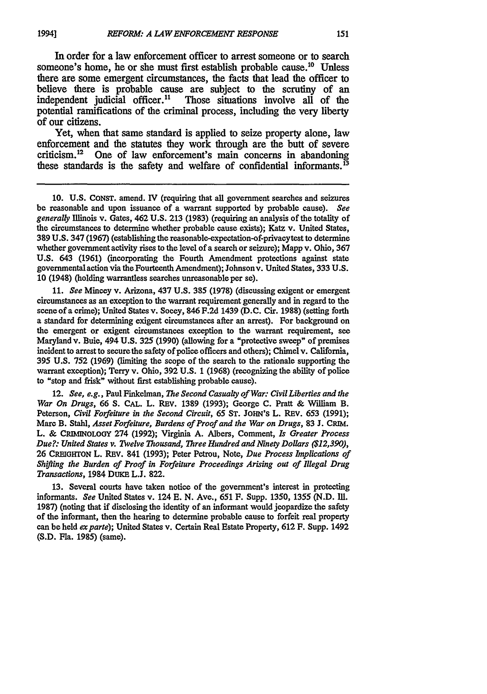In order for a law enforcement officer to arrest someone or to search someone's home, he or she must first establish probable cause.<sup>10</sup> Unless there are some emergent circumstances, the facts that lead the officer to believe there is probable cause are subject to the scrutiny of an independent judicial officer.<sup>11</sup> Those situations involve all of the Those situations involve all of the potential ramifications of the criminal process, including the very liberty of our citizens.

Yet, when that same standard is applied to seize property alone, law enforcement and the statutes they work through are the butt of severe criticism.12 One of law enforcement's main concerns in abandoning these standards is the safety and welfare of confidential informants. **<sup>13</sup>**

**10. U.S. CONST.** amend. IV (requiring that all government searches and seizures be reasonable and upon issuance of a warrant supported **by** probable cause). *See generally* Illinois v. Gates, 462 **U.S. 213 (1983)** (requiring an analysis of the totality of the circumstances to determine whether probable cause exists); Katz v. United States, **389 U.S.** 347 **(1967)** (establishing the reasonable-expectation-of-privacytest to determine whether government activity rises to the level of a search or seizure); Mapp v. Ohio, **367 U.S.** 643 **(1961)** (incorporating the Fourth Amendment protections against state governmental action via the Fourteenth Amendment); Johnsonv. United States, 333 **U.S. 10** (1948) (holding warrantless searches unreasonable per se).

**11.** *See* Mincey v. Arizona, 437 **U.S. 385 (1978)** (discussing exigent or emergent circumstances as an exception to the warrant requirement generally and in regard to the scene of a crime); United States v. Socey, 846 **F.2d** 1439 **(D.C.** Cir. **1988)** (setting forth a standard for determining exigent circumstances after an arrest). For background on the emergent or exigent circumstances exception **to** the warrant requirement, see Maryland v. Buie, 494 **U.S. 325 (1990)** (allowing for a "protective sweep" of premises incident to arrest to secure the safety of police officers and others); Chimel v. California, **395 U.S. 752 (1969)** (limiting the scope of the search to the rationale supporting the warrant exception); Terry v. Ohio, **392 U.S.** 1 **(1968)** (recognizing the ability of police to "stop and frisk" without first establishing probable cause).

12. *See, e.g.,* Paul Finkelman, *The Second Casualty of War: Civil Liberties and the War* On Drugs, 66 **S. CAL.** L. REv. **1389 (1993);** George **C.** Pratt **&** William B. Peterson, *Civil Forfeiture in the Second Circuit, 65* **ST.** JOHN'S L. REV. **653 (1991);** Marc B. Stahl, *Asset Forfeiture, Burdens of Proof and the War on Drugs,* **83 J. CRIM.** L. **&** CRINhbOLOOY 274 **(1992);** Virginia **A.** Albers, Comment, *Is Greater Process Due?: United States v. TWelve Thousand, Three Hundred and Ninety Dollars (\$12,390),* **26 CREIGHTON** L. REV. 841 **(1993);** Peter Petrou, Note, *Due Process Implications of Shfting the Burden of Proof in Forfeiture Proceedings Arising out of Illegal Drug Transactions,* 1984 DuKE **L.J. 822.**

**13.** Several courts have taken notice of the government's interest in protecting informants. *See* United States v. 124 **E. N.** Ave., **651 F.** Supp. **1350, 1355 (N.D. Ill. 1987)** (noting that if disclosing the identity of an informant would jeopardize the safety of the informant, then the hearing to determine probable cause to forfeit real property can be held *exparte);* United States v. Certain Real Estate Property, **612** F. Supp. 1492 (S.D. Fla. 1985) (same).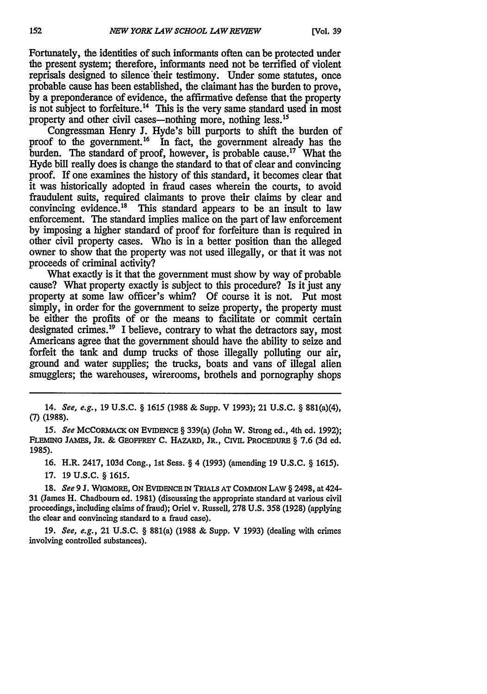Fortunately, the identities of such informants often can be protected under the present system; therefore, informants need not be terrified of violent reprisals designed to silence their testimony. Under some statutes, once probable cause has been established, the claimant has the burden to prove, **by** a preponderance of evidence, the affirmative defense that the property is not subject to forfeiture.<sup>14</sup> This is the very same standard used in most property and other civil cases—nothing more, nothing less.<sup>15</sup>

Congressman Henry **J.** Hyde's bill purports to shift the burden of proof to the government.<sup>16</sup> In fact, the government already has the burden. The standard of proof, however, is probable cause.<sup>17</sup> What the Hyde bill really does is change the standard to that of clear and convincing proof. If one examines the history of this standard, it becomes clear that it was historically adopted in fraud cases wherein the courts, to avoid fraudulent suits, required claimants to prove their claims **by** clear and convincing evidence.<sup>18</sup> This standard appears to be an insult to law enforcement. The standard implies malice on the part of law enforcement **by** imposing a higher standard of proof for forfeiture than is required in other civil property cases. Who is in a better position than the alleged owner to show that the property was not used illegally, or that it was not proceeds of criminal activity?

What exactly is it that the government must show by way of probable cause? What property exactly is subject to this procedure? Is it just any property at some law officer's whim? Of course it is not. Put most simply, in order for the government to seize property, the property must be either the profits of or the means to facilitate or commit certain designated crimes.<sup>19</sup> I believe, contrary to what the detractors say, most Americans agree that the government should have the ability to seize and forfeit the tank and dump trucks of those illegally polluting our air, ground and water supplies; the trucks, boats and vans of illegal alien smugglers; the warehouses, wirerooms, brothels and pornography shops

14. *See, e.g.,* **19** U.S.C. § **1615 (1988 &** Supp. V **1993);** 21 **U.S.C.** § 881(a)(4), **(7) (1988).**

15. *See* MCCORMACK **ON EviDENCE** § 339(a) (John W. Strong **ed.,** 4th **ed. 1992); FLEMING JAMEs,** JR. *&* **GEOFFREY C. HAZARD, JR., CIvIL PRoCEDURE** § **7.6 (3d ed. 1985).**

**16. H.R. 2417, 103d Cong., 1st Sess.** § 4 **(1993) (amending 19 U.S.C.** § *1615).*

**17.** 19 **U.S.C.** § *1615.*

**18.** *See* **9 J.** WIGMORE, **ON** EVIDENCE IN TRIALS AT COMMON LAW § **2498,** at 424- **31** (James H. Chadbourn ed. **1981)** (discussing the appropriate standard at various civil proceedings, including claims of fraud); Oriel v. Russell, **278** U.S. **358** (1928) (applying the clear and convincing standard to a fraud case).

**19.** *See, e.g.,* 21 U.S.C. § 881(a) **(1988** & Supp. V **1993)** (dealing with crimes involving controlled substances).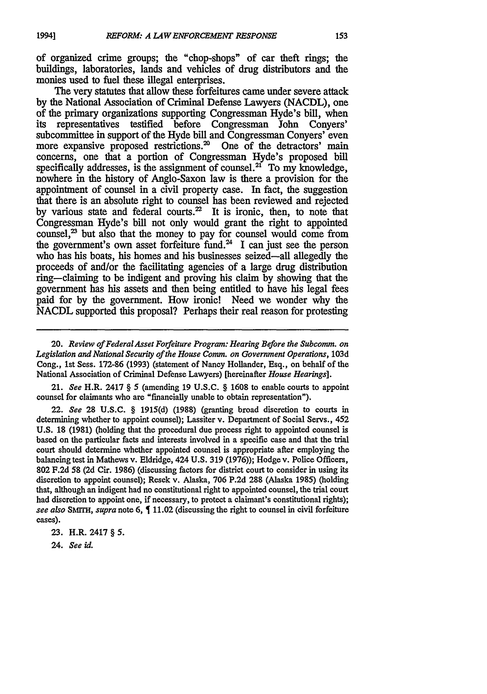of organized crime groups; the "chop-shops" of car theft rings; the buildings, laboratories, lands and vehicles of drug distributors and the monies used to fuel these illegal enterprises.

The very statutes that allow these forfeitures came under severe attack by the National Association of Criminal Defense Lawyers (NACDL), one of the primary organizations supporting Congressman Hyde's bill, when its representatives testified before Congressman John Conyers' subcommittee in support of the Hyde bill and Congressman Conyers' even more expansive proposed restrictions.<sup>20</sup> One of the detractors' main concerns, one that a portion of Congressman Hyde's proposed bill specifically addresses, is the assignment of counsel.<sup>21</sup> To my knowledge, nowhere in the history of Anglo-Saxon law is there a provision for the appointment of counsel in a civil property case. In fact, the suggestion that there is an absolute right to counsel has been reviewed and rejected by various state and federal courts. $2^2$  It is ironic, then, to note that Congressman Hyde's bill not only would grant the right to appointed counsel, $^{23}$  but also that the money to pay for counsel would come from the government's own asset forfeiture fund.<sup>24</sup> I can just see the person who has his boats, his homes and his businesses seized-all allegedly the proceeds of and/or the facilitating agencies of a large drug distribution ring-claiming to be indigent and proving his claim by showing that the government has his assets and then being entitled to have his legal fees paid for by the government. How ironic! Need we wonder why the NACDL supported this proposal? Perhaps their real reason for protesting

20. *Review of FederalAsset Forfeiture Program: Hearing Before the Subcomm. on Legislation and National Security of the House Comm. on Government Operations,* **103d** Cong., 1st Sess. 172-86 (1993) (statement of Nancy Hollander, Esq., on behalf of the National Association of Criminal Defense Lawyers) [hereinafter *House Hearings].*

21. *See* H.R. 2417 § **5** (amending **19** U.S.C. § **1608** to enable courts to appoint counsel for claimants who are "financially unable to obtain representation").

22. *See* **28** U.S.C. § 1915(d) (1988) (granting broad discretion to courts in determining whether to appoint counsel); Lassiter v. Department of Social Servs., 452 U.S. **18** (1981) (holding that the procedural due process right to appointed counsel is based on the particular facts and interests involved in a specific case and that the trial court should determine whether appointed counsel is appropriate after employing the balancing test in Mathews v. Eldridge, 424 U.S. **319 (1976));** Hodge v. Police Officers, **802** F.2d 58 **(2d** Cir. 1986) (discussing factors for district court to consider in using its discretion to appoint counsel); Resek v. Alaska, 706 P.2d **288** (Alaska 1985) (holding that, although an indigent had no constitutional right to appointed counsel, the trial court had discretion to appoint one, if necessary, to protect a claimant's constitutional rights); *see also SM1rH, supra* note 6, 11.02 (discussing the right to counsel in civil forfeiture cases).

**23.** H.R. 2417 § *5.*

24. *See id.*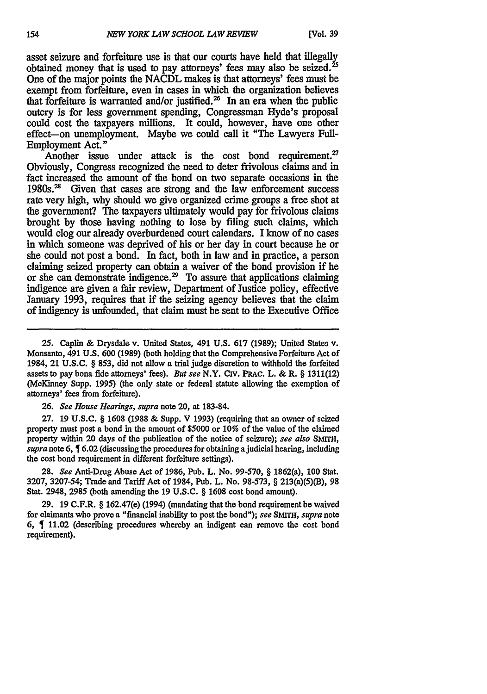asset seizure and forfeiture use is that our courts have held that illegally obtained money that is used to pay attorneys' fees may also be seized.<sup>25</sup> One of the major points the NACDL makes is that attorneys' fees must **be** exempt from forfeiture, even in cases in which the organization believes that forfeiture is warranted and/or justified.<sup>26</sup> In an era when the public outcry is for less government spending, Congressman Hyde's proposal could cost the taxpayers millions. It could, however, have one other effect-on unemployment. Maybe we could call it "The Lawyers Full-Employment Act."

Another issue under attack is the cost bond requirement. $27$ Obviously, Congress recognized the need to deter frivolous claims and in fact increased the amount of the bond on two separate occasions in the 1980s.<sup>28</sup> Given that cases are strong and the law enforcement success rate very high, why should we give organized crime groups a free shot at the government? The taxpayers ultimately would pay for frivolous claims brought by those having nothing to lose by filing such claims, which would clog our already overburdened court calendars. I know of no cases in which someone was deprived of his or her day in court because he or she could not post a bond. In fact, both in law and in practice, a person claiming seized property can obtain a waiver of the bond provision if he or she can demonstrate indigence.<sup>29</sup> To assure that applications claiming indigence are given a **fair** review, Department of Justice policy, effective January **1993,** requires that if the seizing agency believes that the claim of indigency is unfounded, that claim must be sent to the Executive Office

**25.** Caplin **&** Drysdale v. United States, 491 **U.S. 617 (1989);** United States v. Monsanto, 491 **U.S. 600 (1989)** (both holding that the Comprehensive Forfeiture Act of 1984, 21 U.S.C. § 853, did not allow a trial **judge** discretion to withhold the forfeited assets to pay bona fide attorneys' fees). *But see* N.Y. CIV. PRAC. L. & R. § 1311(12) (McKinney Supp. 1995) (the only state or federal statute allowing the exemption of attorneys' fees from forfeiture).

26. *See House Hearings, supra* note 20, at 183-84.

27. 19 U.S.C. § **1608 (1988** & Supp. V 1993) (requiring that an owner of seized property must post a bond in the amount of \$5000 or **10%** of the value of the claimed property within 20 days of the publication of the notice of seizure); *see also SMrH, supra* note 6, **6.02** (discussing the procedures for obtaining ajudicial hearing, including the cost bond requirement in different forfeiture settings).

28. *See* Anti-Drug Abuse Act of 1986, Pub. L. No. 99-570, § 1862(a), **100** Stat. 3207, 3207-54; Trade and Tariff Act of 1984, Pub. L. No. 98-573, § 213(a)(5)(B), **98** Stat. 2948, **2985** (both amending the 19 U.S.C. § 1608 cost bond amount).

**29.** 19 C.F.R. § 162.47(e) (1994) (mandating that the bond requirement be waived for claimants who prove a "financial inability to post the bond"); *see SmrrH, supra* note 6,  $\oint$  11.02 (describing procedures whereby an indigent can remove the cost bond requirement).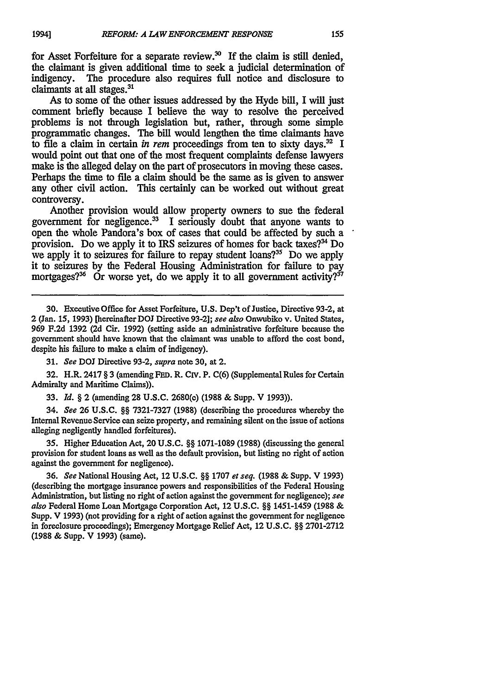for Asset Forfeiture for a separate review.<sup>30</sup> If the claim is still denied, the claimant is given additional time to seek a judicial determination of The procedure also requires full notice and disclosure to claimants at all stages. <sup>31</sup>

As to some of the other issues addressed by the Hyde bill, I will just comment briefly because I believe the way to resolve the perceived problems is not through legislation but, rather, through some simple programmatic changes. The bill would lengthen the time claimants have to file a claim in certain *in rem* proceedings from ten to sixty days.<sup>32</sup> I would point out that one of the most frequent complaints defense lawyers make is the alleged delay on the part of prosecutors in moving these cases. Perhaps the time to file a claim should be the same as is given to answer any other civil action. This certainly can be worked out without great controversy.

Another provision would allow property owners to sue the federal government for negligence. 3 I seriously doubt that anyone wants to open the whole Pandora's box of cases that could be affected by such a provision. Do we apply it to IRS seizures of homes for back taxes?' Do we apply it to seizures for failure to repay student loans?<sup>35</sup> Do we apply it to seizures by the Federal Housing Administration for failure to pay mortgages?<sup>36</sup> Or worse yet, do we apply it to all government activity?<sup>37</sup>

**30.** Executive **Office** for Asset Forfeiture, **U.S.** Dep't of Justice, Directive **93-2,** at 2 (Jan. **15, 1993)** [hereinafter **DOJ** Directive **93-2];** see also Onwubiko v. United States, **969 F.2d 1392 (2d** Cir. **1992)** (setting aside an administrative forfeiture because the government should have known that the claimant was unable to afford the cost bond, despite his failure to make a claim of indigency).

**31.** *See* **DOJ** Directive **93-2,** *supra* note **30,** at 2.

**32.** H.R. 2417 **§ 3** (amending **FED.** R. Civ. P. **C(6)** (Supplemental Rules for Certain Admiralty and Maritime Claims)).

**33.** *Id.* **§** 2 (amending 28 U.S.C. 2680(c) **(1988** & Supp. V 1993)).

34. *See* **26 U.S.C. §§ 7321-7327 (1988)** (describing the procedures whereby the Internal Revenue Service can seize property, and remaining silent on the issue of actions alleging negligently handled forfeitures).

**35.** Higher Education Act, 20 **U.S.C. §§ 1071-1089 (1988)** (discussing the general provision for student loans as well as the default provision, but listing no right of action against the government for negligence).

**36.** *See* National Housing Act, 12 **U.S.C. §§ 1707** *et seq.* **(1988 &** Supp. V **1993)** (describing the mortgage insurance powers and responsibilities of the Federal Housing Administration, but listing no right of action against the government for negligence); *see also* Federal Home Loan Mortgage Corporation Act, 12 **U.S.C. §§** 1451-1459 **(1988 &** Supp. V **1993)** (not providing for a right of action against the government for negligence in foreclosure proceedings); Emergency Mortgage Relief Act, 12 **U.S.C. §§ 2701-2712 (1988 &** Supp. V **1993)** (same).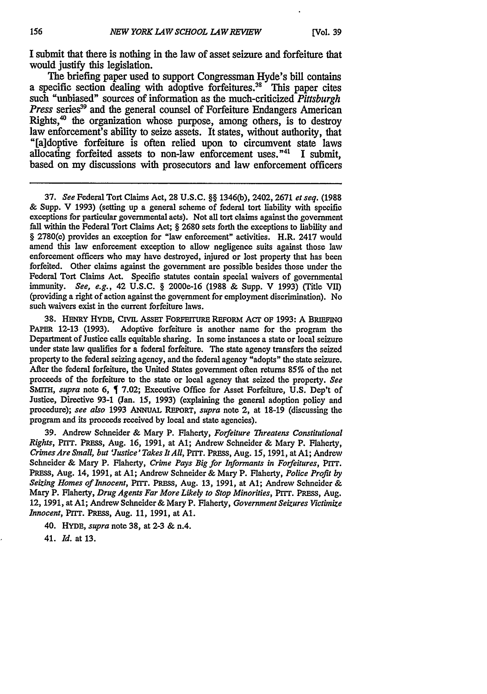I submit that there is nothing in the law of asset seizure and forfeiture that would justify this legislation.

The briefing paper used to support Congressman Hyde's bill contains a specific section dealing with adoptive forfeitures.<sup>38</sup> This paper cites such "unbiased" sources of information as the much-criticized *Pittsburgh Press series*<sup>39</sup> and the general counsel of Forfeiture Endangers American Rights, $40$  the organization whose purpose, among others, is to destroy law enforcement's ability to seize assets. It states, without authority, that "[aldoptive forfeiture is often relied upon to circumvent state laws allocating forfeited assets to non-law enforcement uses."<sup>41</sup> I submit, based on my discussions with prosecutors and law enforcement officers

**37.** *See* Federal Tort Claims Act, **28 U.S.C.** §§ **1346(b),** 2402, 2671 *et seq.* **(1988** & Supp. V **1993)** (setting up a general scheme of federal tort liability with specific exceptions for particular governmental acts). Not all tort claims against the government fall within the Federal Tort Claims Act; § **2680** sets forth the exceptions to liability and § **2780(c)** provides an exception for "law enforcement" activities. H.R. 2417 would amend this law enforcement exception to allow negligence suits against those law enforcement officers who may have destroyed, injured or lost property that has been forfeited. Other claims against the government are possible besides those under the Federal Tort Claims Act. Specific statutes contain special waivers of governmental immunity. *See, e.g.,* 42 **U.S.C.** § 2000e-16 **(1988** & Supp. V **1993)** (Title VII) (providing a right of action against the government for employment discrimination). No such waivers exist in the current forfeiture laws.

**38.** HENRY HYDE, CIvIL **ASSET** FORFEITURE REFORM Acr OF **1993:** A BRIEFING PAPER 12-13 **(1993).** Adoptive forfeiture is another name for the program the Department of Justice calls equitable sharing. In some instances a state or local seizure under state law qualifies for a federal forfeiture. The state agency transfers the seized property to the federal seizing agency, and the federal agency "adopts" the state seizure. After the federal forfeiture, the United States government often returns **85%** of the net proceeds of the forfeiture to the state or local agency that seized the property. *See SMrrH, supra* note **6, 7.02;** Executive Office for Asset Forfeiture, **U.S.** Dep't of Justice, Directive **93-1** (Jan. **15, 1993)** (explaining the general adoption policy and procedure); *see also* **1993** ANNUAL **REPORT,** *supra* note 2, at 18-19 (discussing the program and its proceeds received **by** local and state agencies).

**39.** Andrew Schneider & Mary P. Flaherty, *Forfeiture Threatens Constitutional Rights, PITT. PRESS, Aug. 16, 1991, at A1; Andrew Schneider & Mary P. Flaherty, CrimesAre Small, but 'Justice'Takes ItAll,* PITT. *PRESS,* Aug. **15, 1991,** at Al; Andrew Schneider & Mary P. Flaherty, *Crime Pays Big for Informants in Forfeitures, PITT.* **PRESs,** Aug. 14, **1991,** at **Al;** Andrew Schneider & Mary P. Flaherty, *Police Profit by Seizing Homes of Innocent,* **Prrr.** PRESS, Aug. **13, 1991,** at **Al;** Andrew Schneider & Mary P. Flaherty, *Drug Agents Far More Likely to Stop Minorities,* **Prrr.** *PRESS,* Aug. 12, **1991,** at **Al;** Andrew Schneider & Mary P. Flaherty, *Government Seizures Victimize Innocent,* PrIT. PRESS, Aug. 11, **1991,** at **Al.**

40. HYDE, *supra* note **38,** at **2-3** & n.4.

41. *Id.* at **13.**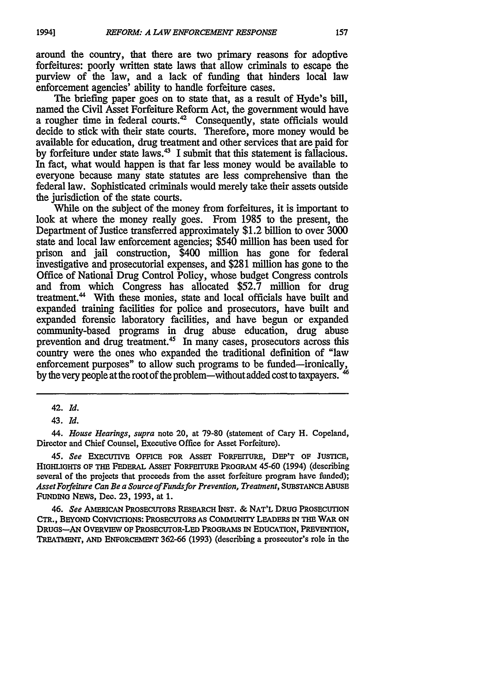around the country, that there are two primary reasons for adoptive forfeitures: poorly written state laws that allow criminals to escape the purview of the law, and a lack of funding that hinders local law enforcement agencies' ability to handle forfeiture cases.

The briefing paper goes on to state that, as a result of Hyde's bill, named the Civil Asset Forfeiture Reform Act, the government would have a rougher time in federal courts.<sup>42</sup> Consequently, state officials would decide to stick with their state courts. Therefore, more money would be available for education, drug treatment and other services that are paid for by forfeiture under state laws.<sup>43</sup> I submit that this statement is fallacious. In fact, what would happen is that far less money would be available to everyone because many state statutes are less comprehensive than the federal law. Sophisticated criminals would merely take their assets outside the jurisdiction of the state courts.

While on the subject of the money from forfeitures, it is important to look at where the money really goes. From 1985 to the present, the Department of Justice transferred approximately \$1.2 billion to over 3000 state and local law enforcement agencies; \$540 million has been used for prison and jail construction, \$400 million has gone for federal investigative and prosecutorial expenses, and \$281 million has gone to the Office of National Drug Control Policy, whose budget Congress controls and from which Congress has allocated \$52.7 million for drug treatment.<sup>44</sup> With these monies, state and local officials have built and expanded training facilities for police and prosecutors, have built and expanded forensic laboratory facilities, and have begun or expanded community-based programs in drug abuse education, drug abuse prevention and drug treatment.<sup>45</sup> In many cases, prosecutors across this country were the ones who expanded the traditional definition of "law enforcement purposes" to allow such programs to be funded-ironically, by the very people at the root of the problem-without added cost to taxpayers.

*45. See* ExEcUTIvE OFFICE FOR **AssET** FORFErITURE, **DEP'T OF JUSTICE,** HIGHLIGHTS OF THE FEDERAL ASSET FORFEITURE PROGRAM 45-60 (1994) (describing several of the projects that proceeds from the asset forfeiture program have funded); *Asset Forfeiture Can Be a Source of Fundsfor Prevention, Treatment,* **SUBSTANCE ABUSE FUNDING** NEWS, Dec. 23, 1993, at 1.

*46. See* **AMERICAN PROSECUTORS RESEARCH INST.** & **NAT'L DRUG PROSECUTION CTR., BEYOND** CONVICTIONS: PROSECUTORS **AS COMMUNrrY LEADERS** IN **THE** WAR **ON DRuOs-AN OVERVIEW OF PROSECUTOR-LED PROGRAMs** IN **EDUCATION, PREVENTION, TREATMENT, AND ENFORCEMENT 362-66 (1993)** (describing a prosecutor's role in the

**<sup>42.</sup>** *Id.*

<sup>43.</sup> *Id.*

*<sup>44.</sup> House Hearings, supra* note 20, at 79-80 (statement of Cary H. Copeland, Director and Chief Counsel, Executive Office for Asset Forfeiture).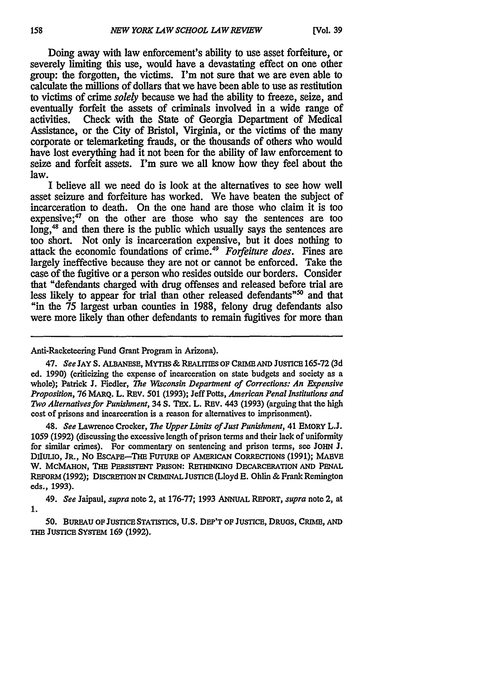Doing away with law enforcement's ability to use asset forfeiture, or severely limiting this use, would have a devastating effect on one other group: the forgotten, the victims. I'm not sure that we are even able to calculate the millions of dollars that we have been able to use as restitution to victims of crime *solely* because we had the ability to freeze, seize, and eventually forfeit the assets of criminals involved in a wide range of activities. Check with the State of Georgia Department of Medical Assistance, or the City of Bristol, Virginia, or the victims of the many corporate or telemarketing frauds, or the thousands of others who would have lost everything had it not been for the ability of law enforcement to seize and forfeit assets. I'm sure we all know how they feel about the law.

I believe all we need do is look at the alternatives to see how well asset seizure and forfeiture has worked. We have beaten the subject of incarceration to death. On the one hand are those who claim it is too expensive; $47$  on the other are those who say the sentences are too long,<sup>48</sup> and then there is the public which usually says the sentences are too short. Not only is incarceration expensive, but it does nothing to attack the economic foundations of crime.49 *Forfeiture does.* Fines are largely ineffective because they are not or cannot be enforced. Take the case of the fugitive or a person who resides outside our borders. Consider that "defendants charged with drug offenses and released before trial are less likely to appear for trial than other released defendants<sup>"50</sup> and that "in the **75** largest urban counties in **1988,** felony drug defendants also were more likely than other defendants to remain fugitives for more than

48. *See* Lawrence Crocker, *The Upper Limits of Just Punishment,* 41 EMoRY L.J. 1059 (1992) (discussing the excessive length of prison terms and their lack of uniformity for similar crimes). For commentary on sentencing and prison terms, see **JOHN** J. **DILULIO, JR., NO ESCAPE-THE FUTURE OF AMERICAN CORRECTIONS (1991); MAEVE** W. **MCMAHON, THE PERSISTENT PRISON: RETHINKING DECARCERATION AND PENAL REFORM (1992); DISCRETION** IN **CRIMINAL JUSTICE (Lloyd E.** Ohlin **&** Frank **Remington** eds., **1993).**

49. *See* Jaipaul, *supra* note 2, at **176-77; 1993** ANNUAL **REPORT,** *supra* note 2, at **1.**

*50.* **BUREAU OF JUSTICE STATISTICS, U.S. DEP'T OF JUSTICE, DRUGS, CRIME, AND THE JusrIcE SYSTEM 169 (1992).**

Anti-Racketeering Fund Grant Program in Arizona).

<sup>47.</sup> *See* **JAY S. ALBANESE, MYTHS & REALrrms OF CRME AND JuSTICE 165-72 (3d** ed. **1990)** (criticizing the expense of incarceration on state budgets and society as a whole); Patrick **J.** Fiedler, *The Wisconsin Department of Corrections: An Expensive Proposition,* 76 MARQ. L. REv. 501 (1993); Jeff Potts, *American Penal Institutions and Two Alternativesfor Punishment,* 34 **S.** TEX. L. REV. 443 (1993) (arguing that the high cost of prisons and incarceration is a reason for alternatives to imprisonment).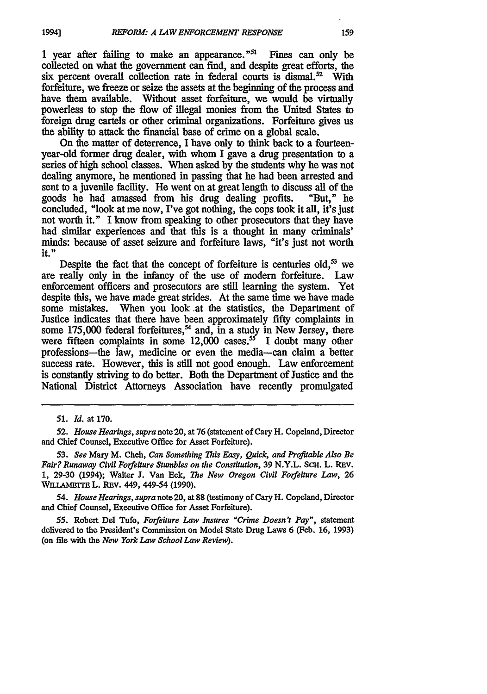1 year after failing to make an appearance. $151$  Fines can only be collected on what the government can find, and despite great efforts, the six percent overall collection rate in federal courts is dismal.<sup>52</sup> With forfeiture, we freeze or seize the assets at the beginning of the process and have them available. Without asset forfeiture, we would be virtually powerless to stop the flow of illegal monies from the United States to foreign drug cartels or other criminal organizations. Forfeiture gives us the ability to attack the financial base of crime on a global scale.

On the matter of deterrence, I have only to think back to a fourteenyear-old former drug dealer, with whom I gave a drug presentation to a series of high school classes. When asked by the students why he was not dealing anymore, he mentioned in passing that he had been arrested and sent to a juvenile facility. He went on at great length to discuss all of the goods he had amassed from his drug dealing profits. "But," he concluded, "look at me now, I've got nothing, the cops took it all, it's just not worth it." I know from speaking to other prosecutors that they have had similar experiences and that this is a thought in many criminals' minds: because of asset seizure and forfeiture laws, "it's just not worth it."

Despite the fact that the concept of forfeiture is centuries old,<sup>53</sup> we are really only in the infancy of the use of modem forfeiture. Law enforcement officers and prosecutors are still learning the system. Yet despite this, we have made great strides. At the same time we have made some mistakes. When you look .at the statistics, the Department of Justice indicates that there have been approximately fifty complaints in some 175,000 federal forfeitures,<sup>54</sup> and, in a study in New Jersey, there were fifteen complaints in some  $12,000$  cases.<sup>55</sup> I doubt many other professions-the law, medicine or even the media-can claim a better success rate. However, this is still not good enough. Law enforcement is constantly striving to do better. Both the Department of Justice and the National District Attorneys Association have recently promulgated

**19941**

*54. House Hearings, supra* note 20, at **88** (testimony of Cary H. Copeland, Director and Chief Counsel, Executive Office for Asset Forfeiture).

**55.** Robert Del Tufo, *Forfeiture Law Insures "Crime Doesn't Pay",* statement delivered to the President's Commission on Model State Drug Laws 6 (Feb. **16, 1993)** (on **file** with the *New York Law School Law Review).*

*<sup>51.</sup> Id.* **at 170.**

*<sup>52.</sup> House Hearings, supra* note 20, at **76** (statement of Cary H. Copeland, Director and Chief Counsel, Executive Office for Asset Forfeiture).

*<sup>53.</sup> See* Mary M. Cheh, *Can Something This Easy, Quick, and Profitable Also Be Fair? Runaway Civil Forfeiture Stumbles on the Constitution,* **39** N.Y.L. ScH. L. REv. **1, 29-30** (1994); Walter **J.** Van Eck, *The New Oregon Civil Forfeiture Law,* **26 WILLAIMETE** L. **REV.** 449, 449-54 **(1990).**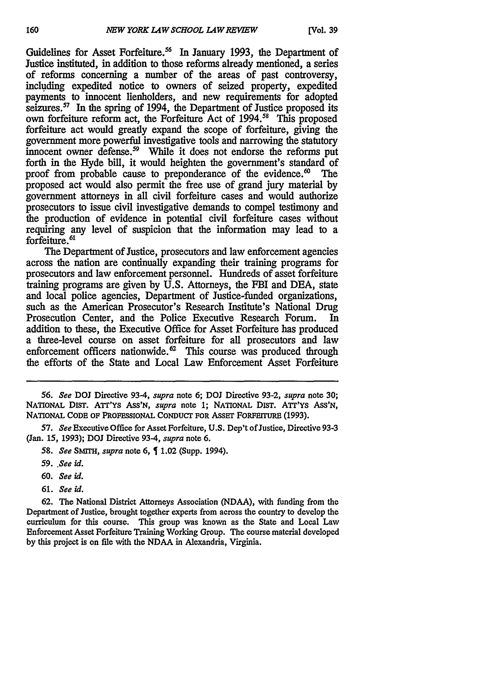Guidelines for Asset Forfeiture.<sup>56</sup> In January 1993, the Department of Justice instituted, in addition to those reforms already mentioned, a series of reforms concerning a number of the areas of past controversy, including expedited notice to owners of seized property, expedited payments to innocent lienholders, and new requirements for adopted seizures. $57$  In the spring of 1994, the Department of Justice proposed its own forfeiture reform act, the Forfeiture Act of 1994.<sup>58</sup> This proposed forfeiture act would greatly expand the scope of forfeiture, giving the government more powerful investigative tools and narrowing the statutory innocent owner defense.<sup>59</sup> While it does not endorse the reforms put forth in the Hyde bill, it would heighten the government's standard of proof from probable cause to preponderance of the evidence. $\omega$  The proposed act would also permit the free use of grand jury material by government attorneys in all civil forfeiture cases and would authorize prosecutors to issue civil investigative demands to compel testimony and the production of evidence in potential civil forfeiture cases without requiring any level of suspicion that the information may lead to a forfeiture.<sup>61</sup>

The Department of Justice, prosecutors and law enforcement agencies across the nation are continually expanding their training programs for prosecutors and law enforcement personnel. Hundreds of asset forfeiture training programs are given by U.S. Attorneys, the FBI and DEA, state and local police agencies, Department of Justice-funded organizations, such as the American Prosecutor's Research Institute's National Drug Prosecution Center, and the Police Executive Research Forum. In addition to these, the Executive Office for Asset Forfeiture has produced a three-level course on asset forfeiture for all prosecutors and law enforcement officers nationwide. $\frac{62}{5}$  This course was produced through the efforts of the State and Local Law Enforcement Asset Forfeiture

*56. See* **DOJ** Directive **93-4,** *supra* note **6;** DOJ Directive **93-2,** *supra* note **30;** NATIONAL DIST. ATT'Ys Ass'N, *supra* note **1;** NATIONAL **DIST. ATr'Ys ASS'N, NATIONAL CODE OF PROFESSIONAL CONDUCT FOR ASSET FORFEITURE (1993).** 

*57. See* Executive Office for Asset Forfeiture, **U.S.** Dep't of Justice, Directive **93-3** (Jan. *15,* **1993); DOJ** Directive 93-4, *supra* note 6.

- 58. *See SMrTH, supra* note 6, 1.02 (Supp. 1994).
- *59. .See id.*
- **60.** *See id.*
- **61.** *See id.*

**62.** The National District Attorneys Association (NDAA), with funding from the Department of Justice, brought together experts from across the country to develop the curriculum for this course. This group was known as the State and Local Law Enforcement Asset Forfeiture Training Working Group. The course material developed **by** this project is on file with the NDAA in Alexandria, Virginia.